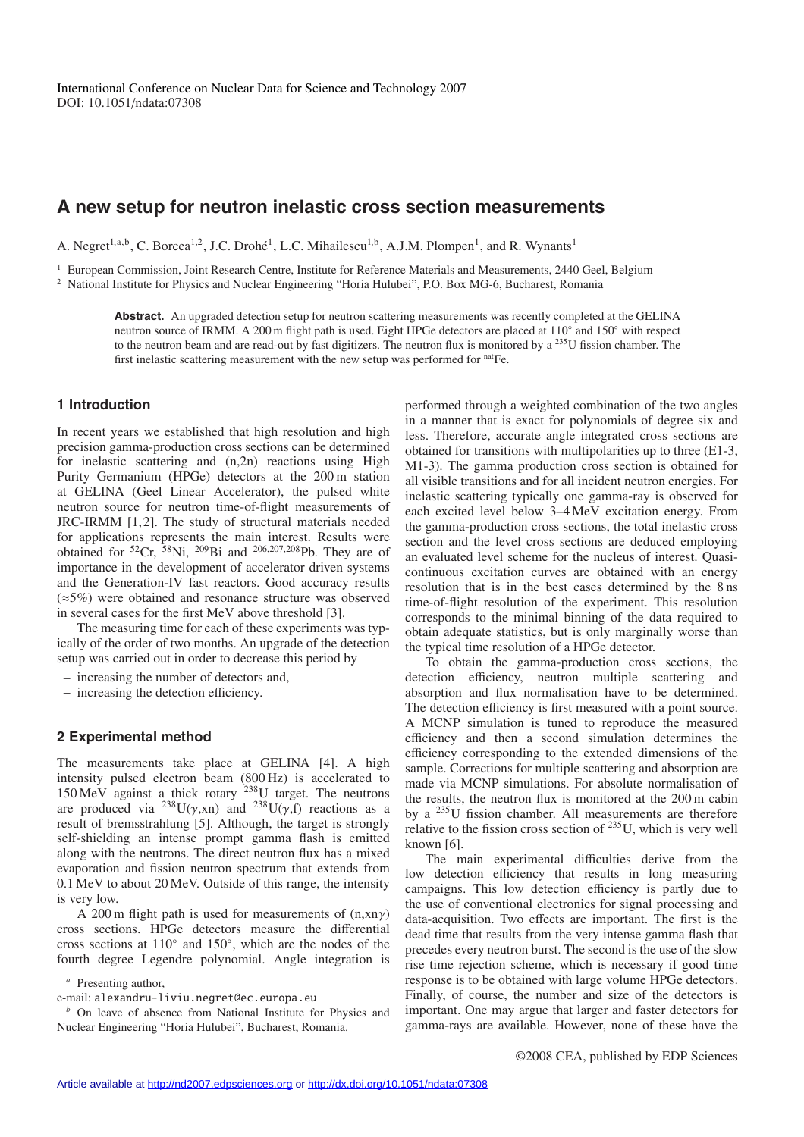# **A new setup for neutron inelastic cross section measurements**

A. Negret<sup>1,a,b</sup>, C. Borcea<sup>1,2</sup>, J.C. Drohé<sup>1</sup>, L.C. Mihailescu<sup>1,b</sup>, A.J.M. Plompen<sup>1</sup>, and R. Wynants<sup>1</sup>

<sup>1</sup> European Commission, Joint Research Centre, Institute for Reference Materials and Measurements, 2440 Geel, Belgium <sup>2</sup> National Institute for Physics and Nuclear Engineering "Horia Hulubei", P.O. Box MG-6, Bucharest, Romania

Abstract. An upgraded detection setup for neutron scattering measurements was recently completed at the GELINA neutron source of IRMM. A 200 m flight path is used. Eight HPGe detectors are placed at 110◦ and 150◦ with respect to the neutron beam and are read-out by fast digitizers. The neutron flux is monitored by a  $^{235}$ U fission chamber. The first inelastic scattering measurement with the new setup was performed for <sup>nat</sup>Fe.

# **1 Introduction**

In recent years we established that high resolution and high precision gamma-production cross sections can be determined for inelastic scattering and (n,2n) reactions using High Purity Germanium (HPGe) detectors at the 200 m station at GELINA (Geel Linear Accelerator), the pulsed white neutron source for neutron time-of-flight measurements of JRC-IRMM [1,2]. The study of structural materials needed for applications represents the main interest. Results were obtained for  ${}^{52}Cr$ ,  ${}^{58}Ni$ ,  ${}^{209}Bi$  and  ${}^{206,207,208}Pb$ . They are of importance in the development of accelerator driven systems and the Generation-IV fast reactors. Good accuracy results (≈5%) were obtained and resonance structure was observed in several cases for the first MeV above threshold [3].

The measuring time for each of these experiments was typically of the order of two months. An upgrade of the detection setup was carried out in order to decrease this period by

- **–** increasing the number of detectors and,
- **–** increasing the detection efficiency.

## **2 Experimental method**

The measurements take place at GELINA [4]. A high intensity pulsed electron beam (800 Hz) is accelerated to 150 MeV against a thick rotary 238U target. The neutrons are produced via  $^{238}U(\gamma, xn)$  and  $^{238}U(\gamma, f)$  reactions as a result of bremsstrahlung [5]. Although, the target is strongly self-shielding an intense prompt gamma flash is emitted along with the neutrons. The direct neutron flux has a mixed evaporation and fission neutron spectrum that extends from 0.1 MeV to about 20 MeV. Outside of this range, the intensity is very low.

A 200 m flight path is used for measurements of  $(n, x)$ cross sections. HPGe detectors measure the differential cross sections at 110◦ and 150◦, which are the nodes of the fourth degree Legendre polynomial. Angle integration is performed through a weighted combination of the two angles in a manner that is exact for polynomials of degree six and less. Therefore, accurate angle integrated cross sections are obtained for transitions with multipolarities up to three (E1-3, M1-3). The gamma production cross section is obtained for all visible transitions and for all incident neutron energies. For inelastic scattering typically one gamma-ray is observed for each excited level below 3–4 MeV excitation energy. From the gamma-production cross sections, the total inelastic cross section and the level cross sections are deduced employing an evaluated level scheme for the nucleus of interest. Quasicontinuous excitation curves are obtained with an energy resolution that is in the best cases determined by the 8 ns time-of-flight resolution of the experiment. This resolution corresponds to the minimal binning of the data required to obtain adequate statistics, but is only marginally worse than the typical time resolution of a HPGe detector.

To obtain the gamma-production cross sections, the detection efficiency, neutron multiple scattering and absorption and flux normalisation have to be determined. The detection efficiency is first measured with a point source. A MCNP simulation is tuned to reproduce the measured efficiency and then a second simulation determines the efficiency corresponding to the extended dimensions of the sample. Corrections for multiple scattering and absorption are made via MCNP simulations. For absolute normalisation of the results, the neutron flux is monitored at the 200 m cabin by a 235U fission chamber. All measurements are therefore relative to the fission cross section of 235U, which is very well known [6].

The main experimental difficulties derive from the low detection efficiency that results in long measuring campaigns. This low detection efficiency is partly due to the use of conventional electronics for signal processing and data-acquisition. Two effects are important. The first is the dead time that results from the very intense gamma flash that precedes every neutron burst. The second is the use of the slow rise time rejection scheme, which is necessary if good time response is to be obtained with large volume HPGe detectors. Finally, of course, the number and size of the detectors is important. One may argue that larger and faster detectors for gamma-rays are available. However, none of these have the

*<sup>a</sup>* Presenting author,

e-mail: alexandru-liviu.negret@ec.europa.eu

*<sup>b</sup>* On leave of absence from National Institute for Physics and Nuclear Engineering "Horia Hulubei", Bucharest, Romania.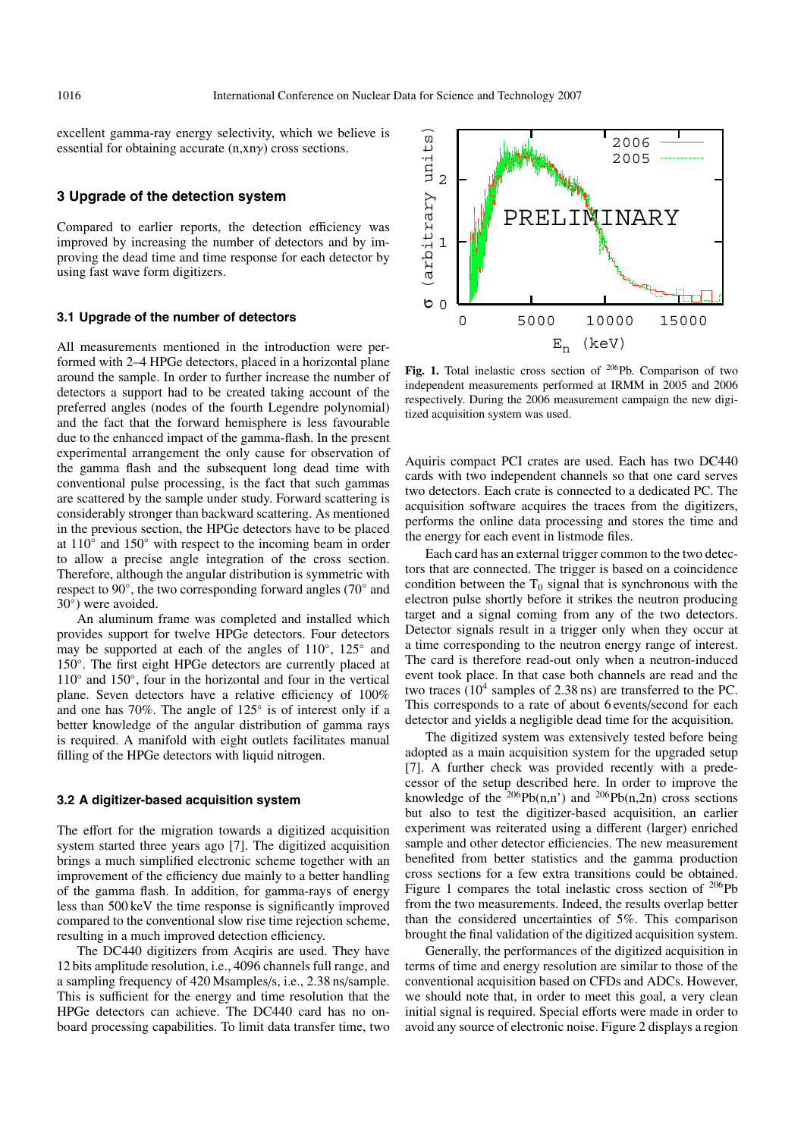excellent gamma-ray energy selectivity, which we believe is essential for obtaining accurate (n,xnγ) cross sections.

### **3 Upgrade of the detection system**

Compared to earlier reports, the detection efficiency was improved by increasing the number of detectors and by improving the dead time and time response for each detector by using fast wave form digitizers.

#### **3.1 Upgrade of the number of detectors**

All measurements mentioned in the introduction were performed with 2–4 HPGe detectors, placed in a horizontal plane around the sample. In order to further increase the number of detectors a support had to be created taking account of the preferred angles (nodes of the fourth Legendre polynomial) and the fact that the forward hemisphere is less favourable due to the enhanced impact of the gamma-flash. In the present experimental arrangement the only cause for observation of the gamma flash and the subsequent long dead time with conventional pulse processing, is the fact that such gammas are scattered by the sample under study. Forward scattering is considerably stronger than backward scattering. As mentioned in the previous section, the HPGe detectors have to be placed at 110◦ and 150◦ with respect to the incoming beam in order to allow a precise angle integration of the cross section. Therefore, although the angular distribution is symmetric with respect to 90◦, the two corresponding forward angles (70◦ and 30◦) were avoided.

An aluminum frame was completed and installed which provides support for twelve HPGe detectors. Four detectors may be supported at each of the angles of 110◦, 125◦ and 150◦. The first eight HPGe detectors are currently placed at 110◦ and 150◦, four in the horizontal and four in the vertical plane. Seven detectors have a relative efficiency of 100% and one has 70%. The angle of 125◦ is of interest only if a better knowledge of the angular distribution of gamma rays is required. A manifold with eight outlets facilitates manual filling of the HPGe detectors with liquid nitrogen.

#### **3.2 A digitizer-based acquisition system**

The effort for the migration towards a digitized acquisition system started three years ago [7]. The digitized acquisition brings a much simplified electronic scheme together with an improvement of the efficiency due mainly to a better handling of the gamma flash. In addition, for gamma-rays of energy less than 500 keV the time response is significantly improved compared to the conventional slow rise time rejection scheme, resulting in a much improved detection efficiency.

The DC440 digitizers from Acqiris are used. They have 12 bits amplitude resolution, i.e., 4096 channels full range, and a sampling frequency of 420 Msamples/s, i.e., 2.38 ns/sample. This is sufficient for the energy and time resolution that the HPGe detectors can achieve. The DC440 card has no onboard processing capabilities. To limit data transfer time, two



Fig. 1. Total inelastic cross section of <sup>206</sup>Pb. Comparison of two independent measurements performed at IRMM in 2005 and 2006 respectively. During the 2006 measurement campaign the new digitized acquisition system was used.

Aquiris compact PCI crates are used. Each has two DC440 cards with two independent channels so that one card serves two detectors. Each crate is connected to a dedicated PC. The acquisition software acquires the traces from the digitizers, performs the online data processing and stores the time and the energy for each event in listmode files.

Each card has an external trigger common to the two detectors that are connected. The trigger is based on a coincidence condition between the  $T_0$  signal that is synchronous with the electron pulse shortly before it strikes the neutron producing target and a signal coming from any of the two detectors. Detector signals result in a trigger only when they occur at a time corresponding to the neutron energy range of interest. The card is therefore read-out only when a neutron-induced event took place. In that case both channels are read and the two traces  $(10^4 \text{ samples of } 2.38 \text{ ns})$  are transferred to the PC. This corresponds to a rate of about 6 events/second for each detector and yields a negligible dead time for the acquisition.

The digitized system was extensively tested before being adopted as a main acquisition system for the upgraded setup [7]. A further check was provided recently with a predecessor of the setup described here. In order to improve the knowledge of the <sup>206</sup>Pb(n,n') and <sup>206</sup>Pb(n,2n) cross sections but also to test the digitizer-based acquisition, an earlier experiment was reiterated using a different (larger) enriched sample and other detector efficiencies. The new measurement benefited from better statistics and the gamma production cross sections for a few extra transitions could be obtained. Figure 1 compares the total inelastic cross section of  $206Pb$ from the two measurements. Indeed, the results overlap better than the considered uncertainties of 5%. This comparison brought the final validation of the digitized acquisition system.

Generally, the performances of the digitized acquisition in terms of time and energy resolution are similar to those of the conventional acquisition based on CFDs and ADCs. However, we should note that, in order to meet this goal, a very clean initial signal is required. Special efforts were made in order to avoid any source of electronic noise. Figure 2 displays a region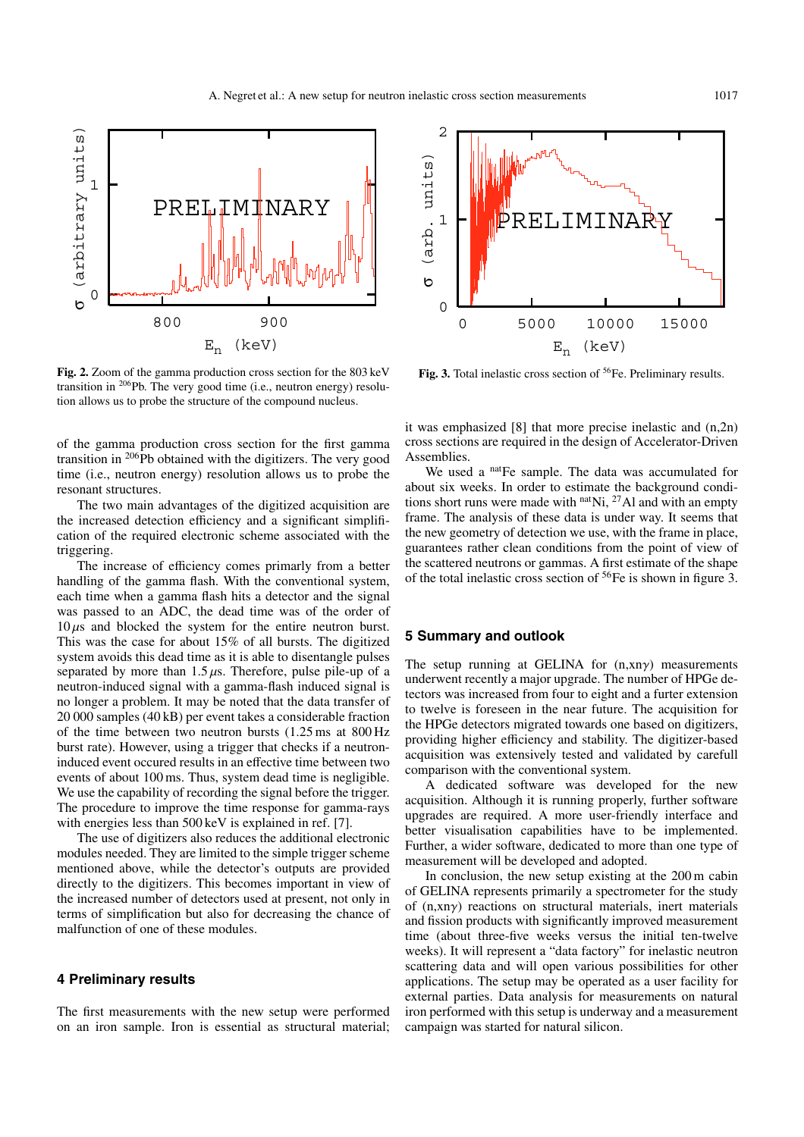

**Fig. 2.** Zoom of the gamma production cross section for the 803 keV transition in 206Pb. The very good time (i.e., neutron energy) resolution allows us to probe the structure of the compound nucleus.

of the gamma production cross section for the first gamma transition in <sup>206</sup>Pb obtained with the digitizers. The very good time (i.e., neutron energy) resolution allows us to probe the resonant structures.

The two main advantages of the digitized acquisition are the increased detection efficiency and a significant simplification of the required electronic scheme associated with the triggering.

The increase of efficiency comes primarly from a better handling of the gamma flash. With the conventional system, each time when a gamma flash hits a detector and the signal was passed to an ADC, the dead time was of the order of  $10 \mu s$  and blocked the system for the entire neutron burst. This was the case for about 15% of all bursts. The digitized system avoids this dead time as it is able to disentangle pulses separated by more than  $1.5 \mu s$ . Therefore, pulse pile-up of a neutron-induced signal with a gamma-flash induced signal is no longer a problem. It may be noted that the data transfer of 20 000 samples (40 kB) per event takes a considerable fraction of the time between two neutron bursts (1.25 ms at 800 Hz burst rate). However, using a trigger that checks if a neutroninduced event occured results in an effective time between two events of about 100 ms. Thus, system dead time is negligible. We use the capability of recording the signal before the trigger. The procedure to improve the time response for gamma-rays with energies less than 500 keV is explained in ref. [7].

The use of digitizers also reduces the additional electronic modules needed. They are limited to the simple trigger scheme mentioned above, while the detector's outputs are provided directly to the digitizers. This becomes important in view of the increased number of detectors used at present, not only in terms of simplification but also for decreasing the chance of malfunction of one of these modules.

## **4 Preliminary results**

The first measurements with the new setup were performed on an iron sample. Iron is essential as structural material;



Fig. 3. Total inelastic cross section of <sup>56</sup>Fe. Preliminary results.

it was emphasized [8] that more precise inelastic and (n,2n) cross sections are required in the design of Accelerator-Driven Assemblies.

We used a natFe sample. The data was accumulated for about six weeks. In order to estimate the background conditions short runs were made with  $n$ <sup>at</sup>Ni, <sup>27</sup>Al and with an empty frame. The analysis of these data is under way. It seems that the new geometry of detection we use, with the frame in place, guarantees rather clean conditions from the point of view of the scattered neutrons or gammas. A first estimate of the shape of the total inelastic cross section of  ${}^{56}Fe$  is shown in figure 3.

#### **5 Summary and outlook**

The setup running at GELINA for  $(n, xn\gamma)$  measurements underwent recently a major upgrade. The number of HPGe detectors was increased from four to eight and a furter extension to twelve is foreseen in the near future. The acquisition for the HPGe detectors migrated towards one based on digitizers, providing higher efficiency and stability. The digitizer-based acquisition was extensively tested and validated by carefull comparison with the conventional system.

A dedicated software was developed for the new acquisition. Although it is running properly, further software upgrades are required. A more user-friendly interface and better visualisation capabilities have to be implemented. Further, a wider software, dedicated to more than one type of measurement will be developed and adopted.

In conclusion, the new setup existing at the 200 m cabin of GELINA represents primarily a spectrometer for the study of (n,xnγ) reactions on structural materials, inert materials and fission products with significantly improved measurement time (about three-five weeks versus the initial ten-twelve weeks). It will represent a "data factory" for inelastic neutron scattering data and will open various possibilities for other applications. The setup may be operated as a user facility for external parties. Data analysis for measurements on natural iron performed with this setup is underway and a measurement campaign was started for natural silicon.